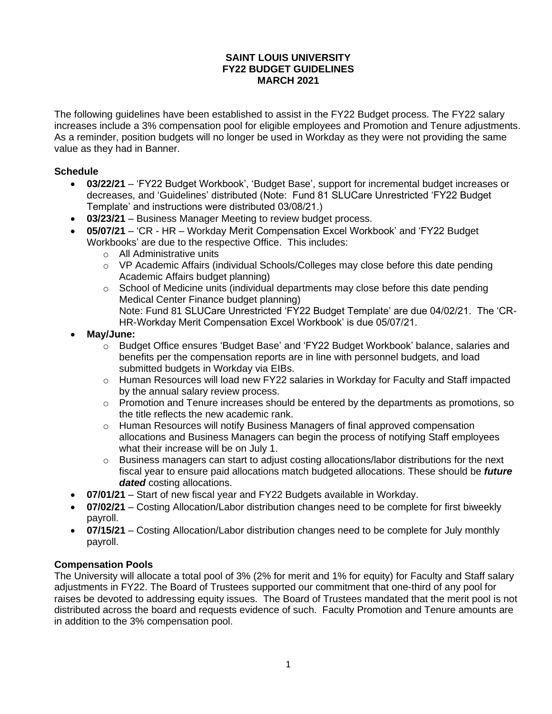#### **SAINT LOUIS UNIVERSITY FY22 BUDGET GUIDELINES MARCH 2021**

The following guidelines have been established to assist in the FY22 Budget process. The FY22 salary increases include a 3% compensation pool for eligible employees and Promotion and Tenure adjustments. As a reminder, position budgets will no longer be used in Workday as they were not providing the same value as they had in Banner.

### **Schedule**

- **03/22/21** 'FY22 Budget Workbook', 'Budget Base', support for incremental budget increases or decreases, and 'Guidelines' distributed (Note: Fund 81 SLUCare Unrestricted 'FY22 Budget Template' and instructions were distributed 03/08/21.)
- **03/23/21** Business Manager Meeting to review budget process.
- **05/07/21**  'CR HR Workday Merit Compensation Excel Workbook' and 'FY22 Budget Workbooks' are due to the respective Office. This includes:
	- o All Administrative units
	- $\circ$  VP Academic Affairs (individual Schools/Colleges may close before this date pending Academic Affairs budget planning)
	- $\circ$  School of Medicine units (individual departments may close before this date pending Medical Center Finance budget planning) Note: Fund 81 SLUCare Unrestricted 'FY22 Budget Template' are due 04/02/21. The 'CR-HR-Workday Merit Compensation Excel Workbook' is due 05/07/21.
- **May/June:**
	- o Budget Office ensures 'Budget Base' and 'FY22 Budget Workbook' balance, salaries and benefits per the compensation reports are in line with personnel budgets, and load submitted budgets in Workday via EIBs.
	- $\circ$  Human Resources will load new FY22 salaries in Workday for Faculty and Staff impacted by the annual salary review process.
	- $\circ$  Promotion and Tenure increases should be entered by the departments as promotions, so the title reflects the new academic rank.
	- o Human Resources will notify Business Managers of final approved compensation allocations and Business Managers can begin the process of notifying Staff employees what their increase will be on July 1.
	- $\circ$  Business managers can start to adjust costing allocations/labor distributions for the next fiscal year to ensure paid allocations match budgeted allocations. These should be *future dated* costing allocations.
- **07/01/21** Start of new fiscal year and FY22 Budgets available in Workday.
- **07/02/21** Costing Allocation/Labor distribution changes need to be complete for first biweekly payroll.
- **07/15/21** Costing Allocation/Labor distribution changes need to be complete for July monthly payroll.

# **Compensation Pools**

The University will allocate a total pool of 3% (2% for merit and 1% for equity) for Faculty and Staff salary adjustments in FY22. The Board of Trustees supported our commitment that one-third of any pool for raises be devoted to addressing equity issues. The Board of Trustees mandated that the merit pool is not distributed across the board and requests evidence of such. Faculty Promotion and Tenure amounts are in addition to the 3% compensation pool.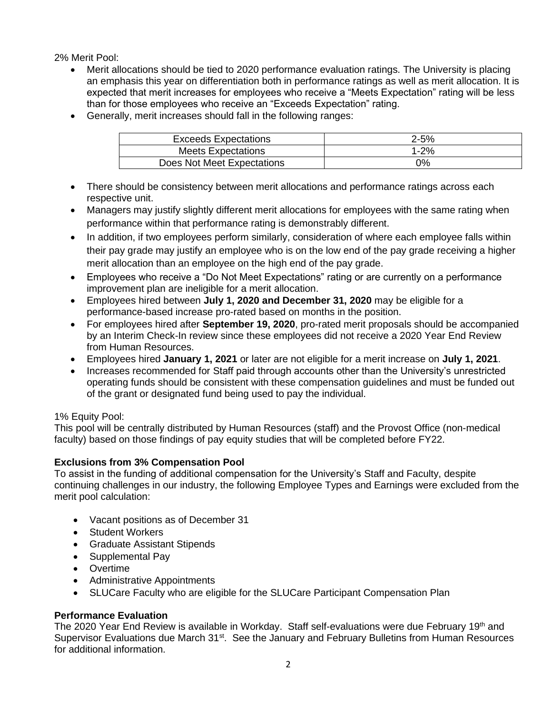2% Merit Pool:

- Merit allocations should be tied to 2020 performance evaluation ratings. The University is placing an emphasis this year on differentiation both in performance ratings as well as merit allocation. It is expected that merit increases for employees who receive a "Meets Expectation" rating will be less than for those employees who receive an "Exceeds Expectation" rating.
- Generally, merit increases should fall in the following ranges:

| <b>Exceeds Expectations</b> | $2 - 5%$ |
|-----------------------------|----------|
| Meets Expectations          | 1-2%     |
| Does Not Meet Expectations  | 0%       |

- There should be consistency between merit allocations and performance ratings across each respective unit.
- Managers may justify slightly different merit allocations for employees with the same rating when performance within that performance rating is demonstrably different.
- In addition, if two employees perform similarly, consideration of where each employee falls within their pay grade may justify an employee who is on the low end of the pay grade receiving a higher merit allocation than an employee on the high end of the pay grade.
- Employees who receive a "Do Not Meet Expectations" rating or are currently on a performance improvement plan are ineligible for a merit allocation.
- Employees hired between **July 1, 2020 and December 31, 2020** may be eligible for a performance-based increase pro-rated based on months in the position.
- For employees hired after **September 19, 2020**, pro-rated merit proposals should be accompanied by an Interim Check-In review since these employees did not receive a 2020 Year End Review from Human Resources.
- Employees hired **January 1, 2021** or later are not eligible for a merit increase on **July 1, 2021**.
- Increases recommended for Staff paid through accounts other than the University's unrestricted operating funds should be consistent with these compensation guidelines and must be funded out of the grant or designated fund being used to pay the individual.

# 1% Equity Pool:

This pool will be centrally distributed by Human Resources (staff) and the Provost Office (non-medical faculty) based on those findings of pay equity studies that will be completed before FY22.

# **Exclusions from 3% Compensation Pool**

To assist in the funding of additional compensation for the University's Staff and Faculty, despite continuing challenges in our industry, the following Employee Types and Earnings were excluded from the merit pool calculation:

- Vacant positions as of December 31
- Student Workers
- Graduate Assistant Stipends
- Supplemental Pay
- Overtime
- Administrative Appointments
- SLUCare Faculty who are eligible for the SLUCare Participant Compensation Plan

# **Performance Evaluation**

The 2020 Year End Review is available in Workday. Staff self-evaluations were due February 19th and Supervisor Evaluations due March 31<sup>st</sup>. See the January and February Bulletins from Human Resources for additional information.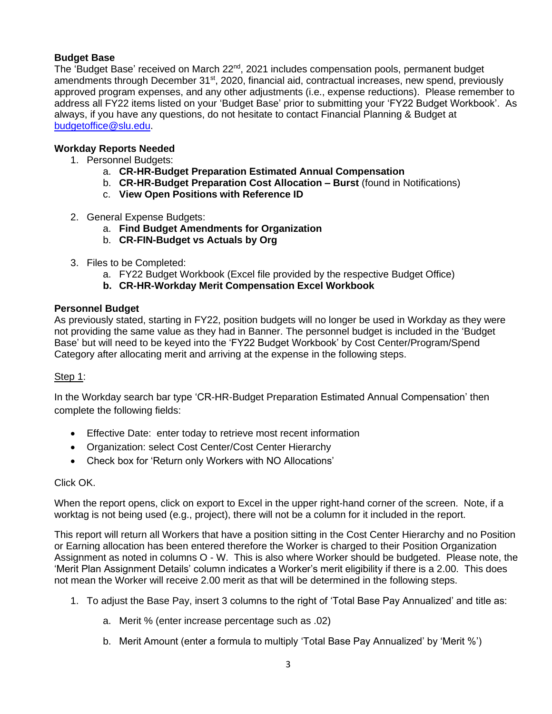# **Budget Base**

The 'Budget Base' received on March 22<sup>nd</sup>, 2021 includes compensation pools, permanent budget amendments through December 31<sup>st</sup>, 2020, financial aid, contractual increases, new spend, previously approved program expenses, and any other adjustments (i.e., expense reductions). Please remember to address all FY22 items listed on your 'Budget Base' prior to submitting your 'FY22 Budget Workbook'. As always, if you have any questions, do not hesitate to contact Financial Planning & Budget at [budgetoffice@slu.edu.](mailto:budgetoffice@slu.edu)

#### **Workday Reports Needed**

- 1. Personnel Budgets:
	- a. **CR-HR-Budget Preparation Estimated Annual Compensation**
	- b. **CR-HR-Budget Preparation Cost Allocation – Burst** (found in Notifications)
	- c. **View Open Positions with Reference ID**
- 2. General Expense Budgets:
	- a. **Find Budget Amendments for Organization**
	- b. **CR-FIN-Budget vs Actuals by Org**
- 3. Files to be Completed:
	- a. FY22 Budget Workbook (Excel file provided by the respective Budget Office)
	- **b. CR-HR-Workday Merit Compensation Excel Workbook**

#### **Personnel Budget**

As previously stated, starting in FY22, position budgets will no longer be used in Workday as they were not providing the same value as they had in Banner. The personnel budget is included in the 'Budget Base' but will need to be keyed into the 'FY22 Budget Workbook' by Cost Center/Program/Spend Category after allocating merit and arriving at the expense in the following steps.

### Step 1:

In the Workday search bar type 'CR-HR-Budget Preparation Estimated Annual Compensation' then complete the following fields:

- Effective Date: enter today to retrieve most recent information
- Organization: select Cost Center/Cost Center Hierarchy
- Check box for 'Return only Workers with NO Allocations'

#### Click OK.

When the report opens, click on export to Excel in the upper right-hand corner of the screen. Note, if a worktag is not being used (e.g., project), there will not be a column for it included in the report.

This report will return all Workers that have a position sitting in the Cost Center Hierarchy and no Position or Earning allocation has been entered therefore the Worker is charged to their Position Organization Assignment as noted in columns O - W. This is also where Worker should be budgeted. Please note, the 'Merit Plan Assignment Details' column indicates a Worker's merit eligibility if there is a 2.00. This does not mean the Worker will receive 2.00 merit as that will be determined in the following steps.

- 1. To adjust the Base Pay, insert 3 columns to the right of 'Total Base Pay Annualized' and title as:
	- a. Merit % (enter increase percentage such as .02)
	- b. Merit Amount (enter a formula to multiply 'Total Base Pay Annualized' by 'Merit %')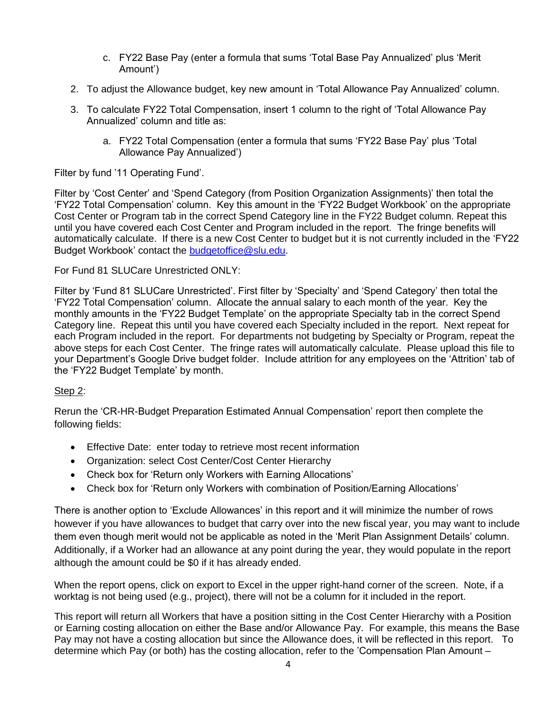- c. FY22 Base Pay (enter a formula that sums 'Total Base Pay Annualized' plus 'Merit Amount')
- 2. To adjust the Allowance budget, key new amount in 'Total Allowance Pay Annualized' column.
- 3. To calculate FY22 Total Compensation, insert 1 column to the right of 'Total Allowance Pay Annualized' column and title as:
	- a. FY22 Total Compensation (enter a formula that sums 'FY22 Base Pay' plus 'Total Allowance Pay Annualized')

Filter by fund '11 Operating Fund'.

Filter by 'Cost Center' and 'Spend Category (from Position Organization Assignments)' then total the 'FY22 Total Compensation' column. Key this amount in the 'FY22 Budget Workbook' on the appropriate Cost Center or Program tab in the correct Spend Category line in the FY22 Budget column. Repeat this until you have covered each Cost Center and Program included in the report. The fringe benefits will automatically calculate. If there is a new Cost Center to budget but it is not currently included in the 'FY22 Budget Workbook' contact the [budgetoffice@slu.edu.](mailto:budgetoffice@slu.edu)

For Fund 81 SLUCare Unrestricted ONLY:

Filter by 'Fund 81 SLUCare Unrestricted'. First filter by 'Specialty' and 'Spend Category' then total the 'FY22 Total Compensation' column. Allocate the annual salary to each month of the year. Key the monthly amounts in the 'FY22 Budget Template' on the appropriate Specialty tab in the correct Spend Category line. Repeat this until you have covered each Specialty included in the report. Next repeat for each Program included in the report. For departments not budgeting by Specialty or Program, repeat the above steps for each Cost Center. The fringe rates will automatically calculate. Please upload this file to your Department's Google Drive budget folder. Include attrition for any employees on the 'Attrition' tab of the 'FY22 Budget Template' by month.

### Step 2:

Rerun the 'CR-HR-Budget Preparation Estimated Annual Compensation' report then complete the following fields:

- Effective Date: enter today to retrieve most recent information
- Organization: select Cost Center/Cost Center Hierarchy
- Check box for 'Return only Workers with Earning Allocations'
- Check box for 'Return only Workers with combination of Position/Earning Allocations'

There is another option to 'Exclude Allowances' in this report and it will minimize the number of rows however if you have allowances to budget that carry over into the new fiscal year, you may want to include them even though merit would not be applicable as noted in the 'Merit Plan Assignment Details' column. Additionally, if a Worker had an allowance at any point during the year, they would populate in the report although the amount could be \$0 if it has already ended.

When the report opens, click on export to Excel in the upper right-hand corner of the screen. Note, if a worktag is not being used (e.g., project), there will not be a column for it included in the report.

This report will return all Workers that have a position sitting in the Cost Center Hierarchy with a Position or Earning costing allocation on either the Base and/or Allowance Pay. For example, this means the Base Pay may not have a costing allocation but since the Allowance does, it will be reflected in this report. To determine which Pay (or both) has the costing allocation, refer to the 'Compensation Plan Amount –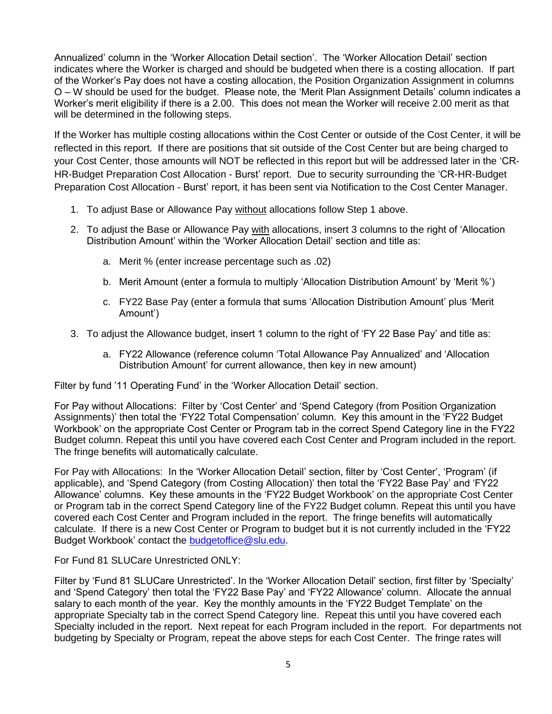Annualized' column in the 'Worker Allocation Detail section'. The 'Worker Allocation Detail' section indicates where the Worker is charged and should be budgeted when there is a costing allocation. If part of the Worker's Pay does not have a costing allocation, the Position Organization Assignment in columns O – W should be used for the budget. Please note, the 'Merit Plan Assignment Details' column indicates a Worker's merit eligibility if there is a 2.00. This does not mean the Worker will receive 2.00 merit as that will be determined in the following steps.

If the Worker has multiple costing allocations within the Cost Center or outside of the Cost Center, it will be reflected in this report. If there are positions that sit outside of the Cost Center but are being charged to your Cost Center, those amounts will NOT be reflected in this report but will be addressed later in the 'CR-HR-Budget Preparation Cost Allocation - Burst' report. Due to security surrounding the 'CR-HR-Budget Preparation Cost Allocation - Burst' report, it has been sent via Notification to the Cost Center Manager.

- 1. To adjust Base or Allowance Pay without allocations follow Step 1 above.
- 2. To adjust the Base or Allowance Pay with allocations, insert 3 columns to the right of 'Allocation Distribution Amount' within the 'Worker Allocation Detail' section and title as:
	- a. Merit % (enter increase percentage such as .02)
	- b. Merit Amount (enter a formula to multiply 'Allocation Distribution Amount' by 'Merit %')
	- c. FY22 Base Pay (enter a formula that sums 'Allocation Distribution Amount' plus 'Merit Amount')
- 3. To adjust the Allowance budget, insert 1 column to the right of 'FY 22 Base Pay' and title as:
	- a. FY22 Allowance (reference column 'Total Allowance Pay Annualized' and 'Allocation Distribution Amount' for current allowance, then key in new amount)

Filter by fund '11 Operating Fund' in the 'Worker Allocation Detail' section.

For Pay without Allocations: Filter by 'Cost Center' and 'Spend Category (from Position Organization Assignments)' then total the 'FY22 Total Compensation' column. Key this amount in the 'FY22 Budget Workbook' on the appropriate Cost Center or Program tab in the correct Spend Category line in the FY22 Budget column. Repeat this until you have covered each Cost Center and Program included in the report. The fringe benefits will automatically calculate.

For Pay with Allocations: In the 'Worker Allocation Detail' section, filter by 'Cost Center', 'Program' (if applicable), and 'Spend Category (from Costing Allocation)' then total the 'FY22 Base Pay' and 'FY22 Allowance' columns. Key these amounts in the 'FY22 Budget Workbook' on the appropriate Cost Center or Program tab in the correct Spend Category line of the FY22 Budget column. Repeat this until you have covered each Cost Center and Program included in the report. The fringe benefits will automatically calculate. If there is a new Cost Center or Program to budget but it is not currently included in the 'FY22 Budget Workbook' contact the [budgetoffice@slu.edu.](mailto:budgetoffice@slu.edu)

For Fund 81 SLUCare Unrestricted ONLY:

Filter by 'Fund 81 SLUCare Unrestricted'. In the 'Worker Allocation Detail' section, first filter by 'Specialty' and 'Spend Category' then total the 'FY22 Base Pay' and 'FY22 Allowance' column. Allocate the annual salary to each month of the year. Key the monthly amounts in the 'FY22 Budget Template' on the appropriate Specialty tab in the correct Spend Category line. Repeat this until you have covered each Specialty included in the report. Next repeat for each Program included in the report. For departments not budgeting by Specialty or Program, repeat the above steps for each Cost Center. The fringe rates will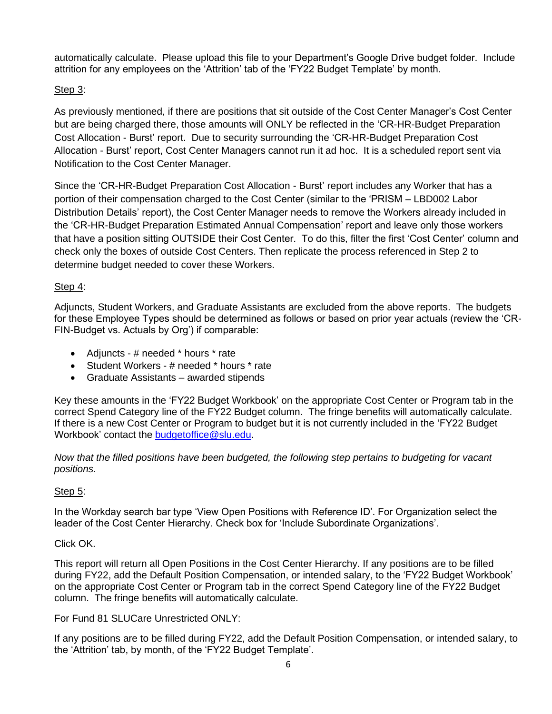automatically calculate. Please upload this file to your Department's Google Drive budget folder. Include attrition for any employees on the 'Attrition' tab of the 'FY22 Budget Template' by month.

# Step 3:

As previously mentioned, if there are positions that sit outside of the Cost Center Manager's Cost Center but are being charged there, those amounts will ONLY be reflected in the 'CR-HR-Budget Preparation Cost Allocation - Burst' report. Due to security surrounding the 'CR-HR-Budget Preparation Cost Allocation - Burst' report, Cost Center Managers cannot run it ad hoc. It is a scheduled report sent via Notification to the Cost Center Manager.

Since the 'CR-HR-Budget Preparation Cost Allocation - Burst' report includes any Worker that has a portion of their compensation charged to the Cost Center (similar to the 'PRISM – LBD002 Labor Distribution Details' report), the Cost Center Manager needs to remove the Workers already included in the 'CR-HR-Budget Preparation Estimated Annual Compensation' report and leave only those workers that have a position sitting OUTSIDE their Cost Center. To do this, filter the first 'Cost Center' column and check only the boxes of outside Cost Centers. Then replicate the process referenced in Step 2 to determine budget needed to cover these Workers.

# Step 4:

Adjuncts, Student Workers, and Graduate Assistants are excluded from the above reports. The budgets for these Employee Types should be determined as follows or based on prior year actuals (review the 'CR-FIN-Budget vs. Actuals by Org') if comparable:

- Adjuncts # needed \* hours \* rate
- Student Workers # needed \* hours \* rate
- Graduate Assistants awarded stipends

Key these amounts in the 'FY22 Budget Workbook' on the appropriate Cost Center or Program tab in the correct Spend Category line of the FY22 Budget column. The fringe benefits will automatically calculate. If there is a new Cost Center or Program to budget but it is not currently included in the 'FY22 Budget Workbook' contact the [budgetoffice@slu.edu.](mailto:budgetoffice@slu.edu)

*Now that the filled positions have been budgeted, the following step pertains to budgeting for vacant positions.*

# Step 5:

In the Workday search bar type 'View Open Positions with Reference ID'. For Organization select the leader of the Cost Center Hierarchy. Check box for 'Include Subordinate Organizations'.

# Click OK.

This report will return all Open Positions in the Cost Center Hierarchy. If any positions are to be filled during FY22, add the Default Position Compensation, or intended salary, to the 'FY22 Budget Workbook' on the appropriate Cost Center or Program tab in the correct Spend Category line of the FY22 Budget column. The fringe benefits will automatically calculate.

For Fund 81 SLUCare Unrestricted ONLY:

If any positions are to be filled during FY22, add the Default Position Compensation, or intended salary, to the 'Attrition' tab, by month, of the 'FY22 Budget Template'.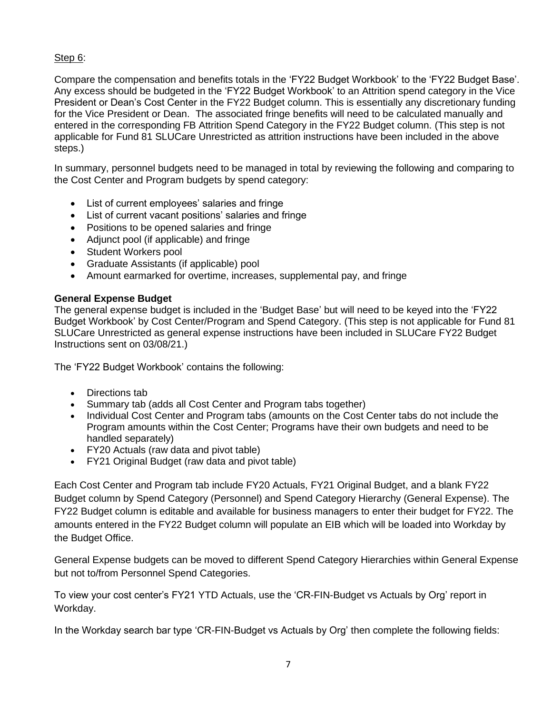# Step 6:

Compare the compensation and benefits totals in the 'FY22 Budget Workbook' to the 'FY22 Budget Base'. Any excess should be budgeted in the 'FY22 Budget Workbook' to an Attrition spend category in the Vice President or Dean's Cost Center in the FY22 Budget column. This is essentially any discretionary funding for the Vice President or Dean. The associated fringe benefits will need to be calculated manually and entered in the corresponding FB Attrition Spend Category in the FY22 Budget column. (This step is not applicable for Fund 81 SLUCare Unrestricted as attrition instructions have been included in the above steps.)

In summary, personnel budgets need to be managed in total by reviewing the following and comparing to the Cost Center and Program budgets by spend category:

- List of current employees' salaries and fringe
- List of current vacant positions' salaries and fringe
- Positions to be opened salaries and fringe
- Adjunct pool (if applicable) and fringe
- Student Workers pool
- Graduate Assistants (if applicable) pool
- Amount earmarked for overtime, increases, supplemental pay, and fringe

#### **General Expense Budget**

The general expense budget is included in the 'Budget Base' but will need to be keyed into the 'FY22 Budget Workbook' by Cost Center/Program and Spend Category. (This step is not applicable for Fund 81 SLUCare Unrestricted as general expense instructions have been included in SLUCare FY22 Budget Instructions sent on 03/08/21.)

The 'FY22 Budget Workbook' contains the following:

- Directions tab
- Summary tab (adds all Cost Center and Program tabs together)
- Individual Cost Center and Program tabs (amounts on the Cost Center tabs do not include the Program amounts within the Cost Center; Programs have their own budgets and need to be handled separately)
- FY20 Actuals (raw data and pivot table)
- FY21 Original Budget (raw data and pivot table)

Each Cost Center and Program tab include FY20 Actuals, FY21 Original Budget, and a blank FY22 Budget column by Spend Category (Personnel) and Spend Category Hierarchy (General Expense). The FY22 Budget column is editable and available for business managers to enter their budget for FY22. The amounts entered in the FY22 Budget column will populate an EIB which will be loaded into Workday by the Budget Office.

General Expense budgets can be moved to different Spend Category Hierarchies within General Expense but not to/from Personnel Spend Categories.

To view your cost center's FY21 YTD Actuals, use the 'CR-FIN-Budget vs Actuals by Org' report in Workday.

In the Workday search bar type 'CR-FIN-Budget vs Actuals by Org' then complete the following fields: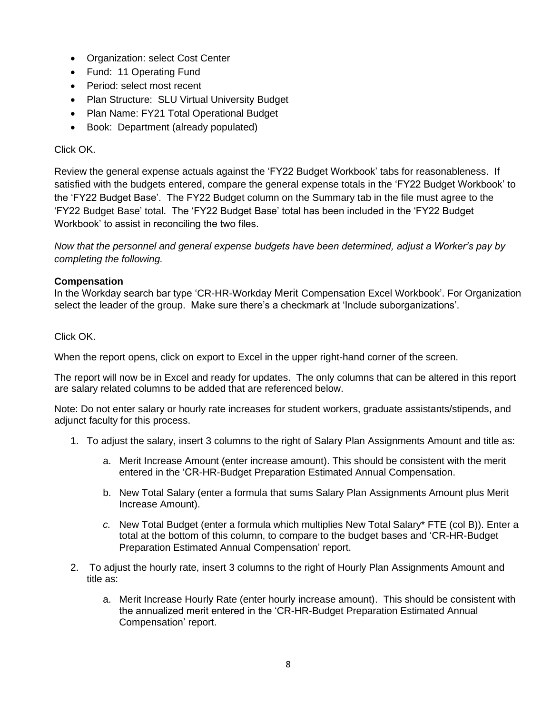- Organization: select Cost Center
- Fund: 11 Operating Fund
- Period: select most recent
- Plan Structure: SLU Virtual University Budget
- Plan Name: FY21 Total Operational Budget
- Book: Department (already populated)

# Click OK.

Review the general expense actuals against the 'FY22 Budget Workbook' tabs for reasonableness. If satisfied with the budgets entered, compare the general expense totals in the 'FY22 Budget Workbook' to the 'FY22 Budget Base'. The FY22 Budget column on the Summary tab in the file must agree to the 'FY22 Budget Base' total. The 'FY22 Budget Base' total has been included in the 'FY22 Budget Workbook' to assist in reconciling the two files.

*Now that the personnel and general expense budgets have been determined, adjust a Worker's pay by completing the following.*

# **Compensation**

In the Workday search bar type 'CR-HR-Workday Merit Compensation Excel Workbook'. For Organization select the leader of the group.Make sure there's a checkmark at 'Include suborganizations'.

# Click OK.

When the report opens, click on export to Excel in the upper right-hand corner of the screen.

The report will now be in Excel and ready for updates. The only columns that can be altered in this report are salary related columns to be added that are referenced below.

Note: Do not enter salary or hourly rate increases for student workers, graduate assistants/stipends, and adjunct faculty for this process.

- 1. To adjust the salary, insert 3 columns to the right of Salary Plan Assignments Amount and title as:
	- a. Merit Increase Amount (enter increase amount). This should be consistent with the merit entered in the 'CR-HR-Budget Preparation Estimated Annual Compensation.
	- b. New Total Salary (enter a formula that sums Salary Plan Assignments Amount plus Merit Increase Amount).
	- *c.* New Total Budget (enter a formula which multiplies New Total Salary\* FTE (col B)). Enter a total at the bottom of this column, to compare to the budget bases and 'CR-HR-Budget Preparation Estimated Annual Compensation' report.
- 2. To adjust the hourly rate, insert 3 columns to the right of Hourly Plan Assignments Amount and title as:
	- a. Merit Increase Hourly Rate (enter hourly increase amount). This should be consistent with the annualized merit entered in the 'CR-HR-Budget Preparation Estimated Annual Compensation' report.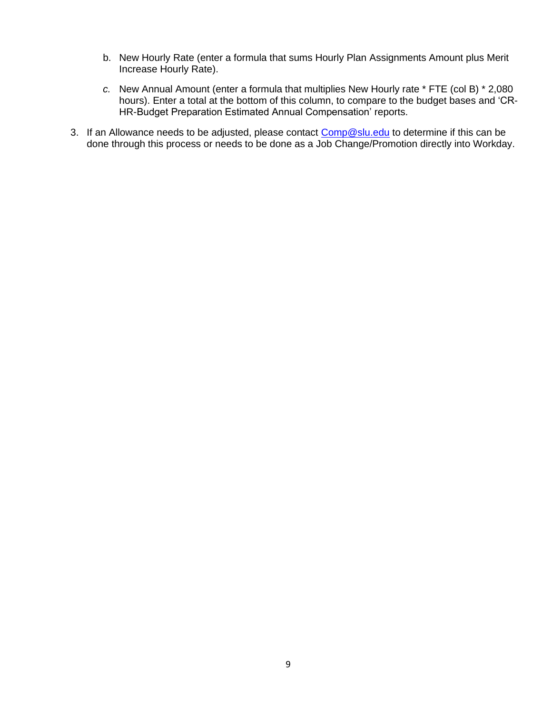- b. New Hourly Rate (enter a formula that sums Hourly Plan Assignments Amount plus Merit Increase Hourly Rate).
- *c.* New Annual Amount (enter a formula that multiplies New Hourly rate \* FTE (col B) \* 2,080 hours). Enter a total at the bottom of this column, to compare to the budget bases and 'CR-HR-Budget Preparation Estimated Annual Compensation' reports.
- 3. If an Allowance needs to be adjusted, please contact [Comp@slu.edu](mailto:Comp@slu.edu) to determine if this can be done through this process or needs to be done as a Job Change/Promotion directly into Workday.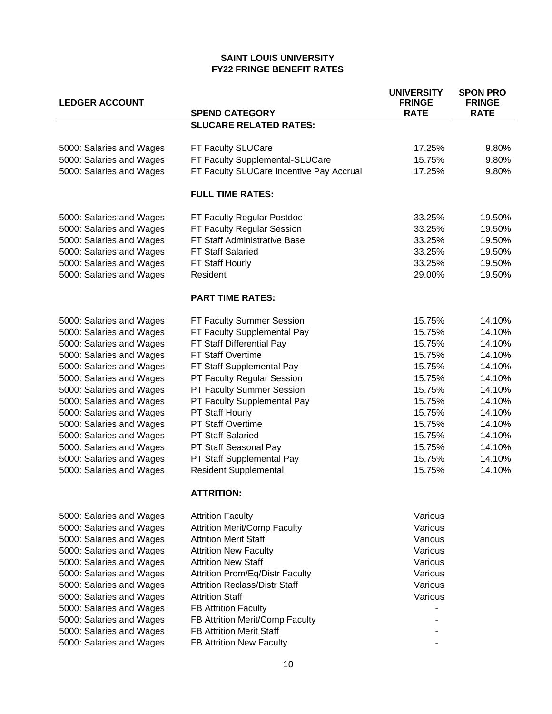#### **SAINT LOUIS UNIVERSITY FY22 FRINGE BENEFIT RATES**

| <b>LEDGER ACCOUNT</b>    | <b>SPEND CATEGORY</b>                    | <b>UNIVERSITY</b><br><b>FRINGE</b><br><b>RATE</b> | <b>SPON PRO</b><br><b>FRINGE</b><br><b>RATE</b> |
|--------------------------|------------------------------------------|---------------------------------------------------|-------------------------------------------------|
|                          | <b>SLUCARE RELATED RATES:</b>            |                                                   |                                                 |
|                          |                                          |                                                   |                                                 |
| 5000: Salaries and Wages | FT Faculty SLUCare                       | 17.25%                                            | 9.80%                                           |
| 5000: Salaries and Wages | FT Faculty Supplemental-SLUCare          | 15.75%                                            | 9.80%                                           |
| 5000: Salaries and Wages | FT Faculty SLUCare Incentive Pay Accrual | 17.25%                                            | 9.80%                                           |
|                          | <b>FULL TIME RATES:</b>                  |                                                   |                                                 |
| 5000: Salaries and Wages | FT Faculty Regular Postdoc               | 33.25%                                            | 19.50%                                          |
| 5000: Salaries and Wages | FT Faculty Regular Session               | 33.25%                                            | 19.50%                                          |
| 5000: Salaries and Wages | FT Staff Administrative Base             | 33.25%                                            | 19.50%                                          |
| 5000: Salaries and Wages | <b>FT Staff Salaried</b>                 | 33.25%                                            | 19.50%                                          |
| 5000: Salaries and Wages | FT Staff Hourly                          | 33.25%                                            | 19.50%                                          |
| 5000: Salaries and Wages | Resident                                 | 29.00%                                            | 19.50%                                          |
|                          | <b>PART TIME RATES:</b>                  |                                                   |                                                 |
| 5000: Salaries and Wages | FT Faculty Summer Session                | 15.75%                                            | 14.10%                                          |
| 5000: Salaries and Wages | FT Faculty Supplemental Pay              | 15.75%                                            | 14.10%                                          |
| 5000: Salaries and Wages | FT Staff Differential Pay                | 15.75%                                            | 14.10%                                          |
| 5000: Salaries and Wages | FT Staff Overtime                        | 15.75%                                            | 14.10%                                          |
| 5000: Salaries and Wages | FT Staff Supplemental Pay                | 15.75%                                            | 14.10%                                          |
| 5000: Salaries and Wages | PT Faculty Regular Session               | 15.75%                                            | 14.10%                                          |
| 5000: Salaries and Wages | PT Faculty Summer Session                | 15.75%                                            | 14.10%                                          |
| 5000: Salaries and Wages | PT Faculty Supplemental Pay              | 15.75%                                            | 14.10%                                          |
| 5000: Salaries and Wages | PT Staff Hourly                          | 15.75%                                            | 14.10%                                          |
| 5000: Salaries and Wages | <b>PT Staff Overtime</b>                 | 15.75%                                            | 14.10%                                          |
| 5000: Salaries and Wages | <b>PT Staff Salaried</b>                 | 15.75%                                            | 14.10%                                          |
| 5000: Salaries and Wages | PT Staff Seasonal Pay                    | 15.75%                                            | 14.10%                                          |
| 5000: Salaries and Wages | PT Staff Supplemental Pay                | 15.75%                                            | 14.10%                                          |
| 5000: Salaries and Wages | <b>Resident Supplemental</b>             | 15.75%                                            | 14.10%                                          |
|                          | <b>ATTRITION:</b>                        |                                                   |                                                 |
| 5000: Salaries and Wages | <b>Attrition Faculty</b>                 | Various                                           |                                                 |
| 5000: Salaries and Wages | <b>Attrition Merit/Comp Faculty</b>      | Various                                           |                                                 |
| 5000: Salaries and Wages | <b>Attrition Merit Staff</b>             | Various                                           |                                                 |
| 5000: Salaries and Wages | <b>Attrition New Faculty</b>             | Various                                           |                                                 |
| 5000: Salaries and Wages | <b>Attrition New Staff</b>               | Various                                           |                                                 |
| 5000: Salaries and Wages | <b>Attrition Prom/Eq/Distr Faculty</b>   | Various                                           |                                                 |
| 5000: Salaries and Wages | <b>Attrition Reclass/Distr Staff</b>     | Various                                           |                                                 |
| 5000: Salaries and Wages | <b>Attrition Staff</b>                   | Various                                           |                                                 |
| 5000: Salaries and Wages | <b>FB Attrition Faculty</b>              |                                                   |                                                 |
| 5000: Salaries and Wages | FB Attrition Merit/Comp Faculty          |                                                   |                                                 |
| 5000: Salaries and Wages | <b>FB Attrition Merit Staff</b>          |                                                   |                                                 |
| 5000: Salaries and Wages | FB Attrition New Faculty                 |                                                   |                                                 |